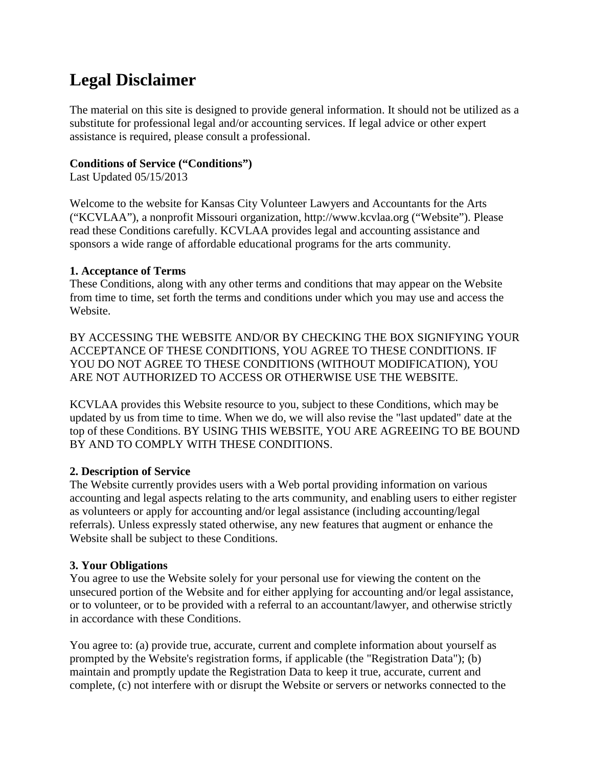# **Legal Disclaimer**

The material on this site is designed to provide general information. It should not be utilized as a substitute for professional legal and/or accounting services. If legal advice or other expert assistance is required, please consult a professional.

#### **Conditions of Service ("Conditions")**

Last Updated 05/15/2013

Welcome to the website for Kansas City Volunteer Lawyers and Accountants for the Arts ("KCVLAA"), a nonprofit Missouri organization, http://www.kcvlaa.org ("Website"). Please read these Conditions carefully. KCVLAA provides legal and accounting assistance and sponsors a wide range of affordable educational programs for the arts community.

#### **1. Acceptance of Terms**

These Conditions, along with any other terms and conditions that may appear on the Website from time to time, set forth the terms and conditions under which you may use and access the Website.

BY ACCESSING THE WEBSITE AND/OR BY CHECKING THE BOX SIGNIFYING YOUR ACCEPTANCE OF THESE CONDITIONS, YOU AGREE TO THESE CONDITIONS. IF YOU DO NOT AGREE TO THESE CONDITIONS (WITHOUT MODIFICATION), YOU ARE NOT AUTHORIZED TO ACCESS OR OTHERWISE USE THE WEBSITE.

KCVLAA provides this Website resource to you, subject to these Conditions, which may be updated by us from time to time. When we do, we will also revise the "last updated" date at the top of these Conditions. BY USING THIS WEBSITE, YOU ARE AGREEING TO BE BOUND BY AND TO COMPLY WITH THESE CONDITIONS.

#### **2. Description of Service**

The Website currently provides users with a Web portal providing information on various accounting and legal aspects relating to the arts community, and enabling users to either register as volunteers or apply for accounting and/or legal assistance (including accounting/legal referrals). Unless expressly stated otherwise, any new features that augment or enhance the Website shall be subject to these Conditions.

#### **3. Your Obligations**

You agree to use the Website solely for your personal use for viewing the content on the unsecured portion of the Website and for either applying for accounting and/or legal assistance, or to volunteer, or to be provided with a referral to an accountant/lawyer, and otherwise strictly in accordance with these Conditions.

You agree to: (a) provide true, accurate, current and complete information about yourself as prompted by the Website's registration forms, if applicable (the "Registration Data"); (b) maintain and promptly update the Registration Data to keep it true, accurate, current and complete, (c) not interfere with or disrupt the Website or servers or networks connected to the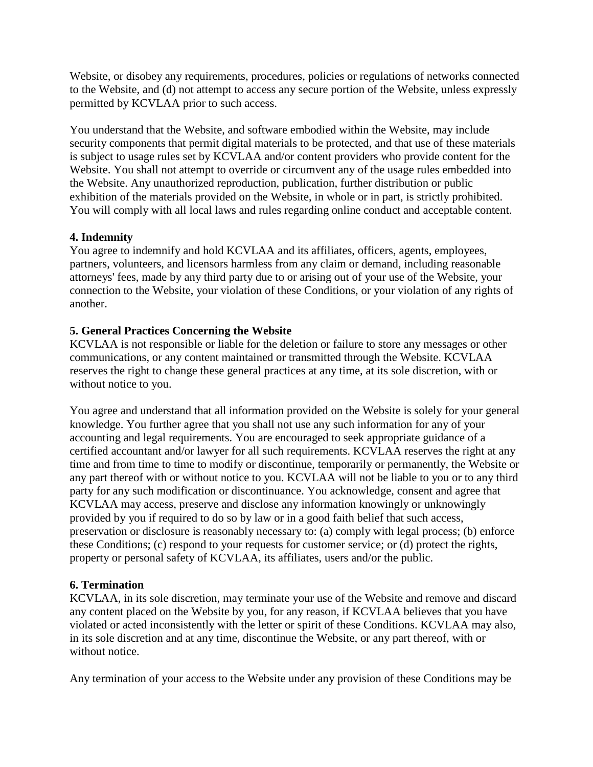Website, or disobey any requirements, procedures, policies or regulations of networks connected to the Website, and (d) not attempt to access any secure portion of the Website, unless expressly permitted by KCVLAA prior to such access.

You understand that the Website, and software embodied within the Website, may include security components that permit digital materials to be protected, and that use of these materials is subject to usage rules set by KCVLAA and/or content providers who provide content for the Website. You shall not attempt to override or circumvent any of the usage rules embedded into the Website. Any unauthorized reproduction, publication, further distribution or public exhibition of the materials provided on the Website, in whole or in part, is strictly prohibited. You will comply with all local laws and rules regarding online conduct and acceptable content.

#### **4. Indemnity**

You agree to indemnify and hold KCVLAA and its affiliates, officers, agents, employees, partners, volunteers, and licensors harmless from any claim or demand, including reasonable attorneys' fees, made by any third party due to or arising out of your use of the Website, your connection to the Website, your violation of these Conditions, or your violation of any rights of another.

# **5. General Practices Concerning the Website**

KCVLAA is not responsible or liable for the deletion or failure to store any messages or other communications, or any content maintained or transmitted through the Website. KCVLAA reserves the right to change these general practices at any time, at its sole discretion, with or without notice to you.

You agree and understand that all information provided on the Website is solely for your general knowledge. You further agree that you shall not use any such information for any of your accounting and legal requirements. You are encouraged to seek appropriate guidance of a certified accountant and/or lawyer for all such requirements. KCVLAA reserves the right at any time and from time to time to modify or discontinue, temporarily or permanently, the Website or any part thereof with or without notice to you. KCVLAA will not be liable to you or to any third party for any such modification or discontinuance. You acknowledge, consent and agree that KCVLAA may access, preserve and disclose any information knowingly or unknowingly provided by you if required to do so by law or in a good faith belief that such access, preservation or disclosure is reasonably necessary to: (a) comply with legal process; (b) enforce these Conditions; (c) respond to your requests for customer service; or (d) protect the rights, property or personal safety of KCVLAA, its affiliates, users and/or the public.

#### **6. Termination**

KCVLAA, in its sole discretion, may terminate your use of the Website and remove and discard any content placed on the Website by you, for any reason, if KCVLAA believes that you have violated or acted inconsistently with the letter or spirit of these Conditions. KCVLAA may also, in its sole discretion and at any time, discontinue the Website, or any part thereof, with or without notice.

Any termination of your access to the Website under any provision of these Conditions may be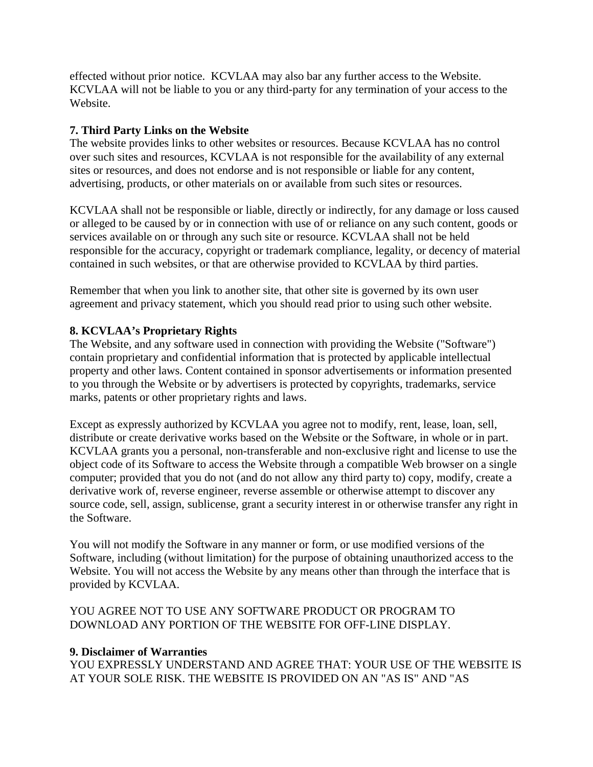effected without prior notice. KCVLAA may also bar any further access to the Website. KCVLAA will not be liable to you or any third-party for any termination of your access to the Website.

### **7. Third Party Links on the Website**

The website provides links to other websites or resources. Because KCVLAA has no control over such sites and resources, KCVLAA is not responsible for the availability of any external sites or resources, and does not endorse and is not responsible or liable for any content, advertising, products, or other materials on or available from such sites or resources.

KCVLAA shall not be responsible or liable, directly or indirectly, for any damage or loss caused or alleged to be caused by or in connection with use of or reliance on any such content, goods or services available on or through any such site or resource. KCVLAA shall not be held responsible for the accuracy, copyright or trademark compliance, legality, or decency of material contained in such websites, or that are otherwise provided to KCVLAA by third parties.

Remember that when you link to another site, that other site is governed by its own user agreement and privacy statement, which you should read prior to using such other website.

#### **8. KCVLAA's Proprietary Rights**

The Website, and any software used in connection with providing the Website ("Software") contain proprietary and confidential information that is protected by applicable intellectual property and other laws. Content contained in sponsor advertisements or information presented to you through the Website or by advertisers is protected by copyrights, trademarks, service marks, patents or other proprietary rights and laws.

Except as expressly authorized by KCVLAA you agree not to modify, rent, lease, loan, sell, distribute or create derivative works based on the Website or the Software, in whole or in part. KCVLAA grants you a personal, non-transferable and non-exclusive right and license to use the object code of its Software to access the Website through a compatible Web browser on a single computer; provided that you do not (and do not allow any third party to) copy, modify, create a derivative work of, reverse engineer, reverse assemble or otherwise attempt to discover any source code, sell, assign, sublicense, grant a security interest in or otherwise transfer any right in the Software.

You will not modify the Software in any manner or form, or use modified versions of the Software, including (without limitation) for the purpose of obtaining unauthorized access to the Website. You will not access the Website by any means other than through the interface that is provided by KCVLAA.

YOU AGREE NOT TO USE ANY SOFTWARE PRODUCT OR PROGRAM TO DOWNLOAD ANY PORTION OF THE WEBSITE FOR OFF-LINE DISPLAY.

#### **9. Disclaimer of Warranties**

YOU EXPRESSLY UNDERSTAND AND AGREE THAT: YOUR USE OF THE WEBSITE IS AT YOUR SOLE RISK. THE WEBSITE IS PROVIDED ON AN "AS IS" AND "AS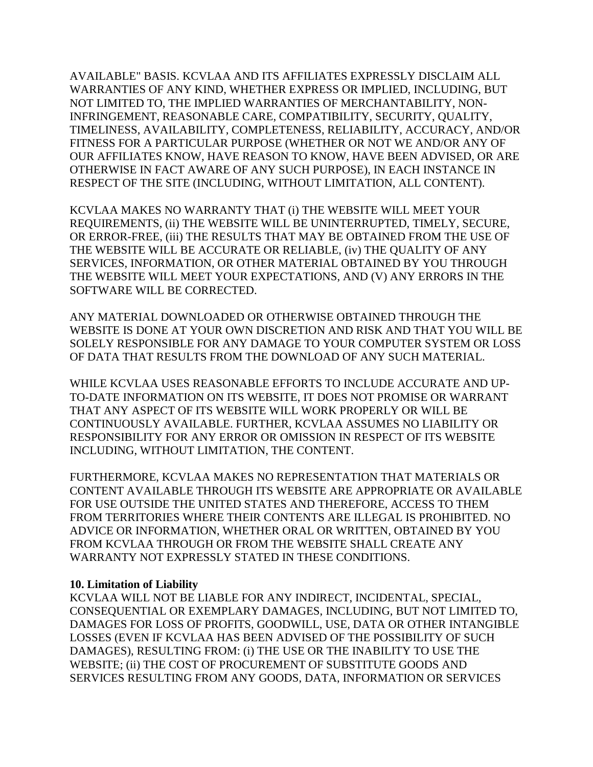AVAILABLE" BASIS. KCVLAA AND ITS AFFILIATES EXPRESSLY DISCLAIM ALL WARRANTIES OF ANY KIND, WHETHER EXPRESS OR IMPLIED, INCLUDING, BUT NOT LIMITED TO, THE IMPLIED WARRANTIES OF MERCHANTABILITY, NON-INFRINGEMENT, REASONABLE CARE, COMPATIBILITY, SECURITY, QUALITY, TIMELINESS, AVAILABILITY, COMPLETENESS, RELIABILITY, ACCURACY, AND/OR FITNESS FOR A PARTICULAR PURPOSE (WHETHER OR NOT WE AND/OR ANY OF OUR AFFILIATES KNOW, HAVE REASON TO KNOW, HAVE BEEN ADVISED, OR ARE OTHERWISE IN FACT AWARE OF ANY SUCH PURPOSE), IN EACH INSTANCE IN RESPECT OF THE SITE (INCLUDING, WITHOUT LIMITATION, ALL CONTENT).

KCVLAA MAKES NO WARRANTY THAT (i) THE WEBSITE WILL MEET YOUR REQUIREMENTS, (ii) THE WEBSITE WILL BE UNINTERRUPTED, TIMELY, SECURE, OR ERROR-FREE, (iii) THE RESULTS THAT MAY BE OBTAINED FROM THE USE OF THE WEBSITE WILL BE ACCURATE OR RELIABLE, (iv) THE QUALITY OF ANY SERVICES, INFORMATION, OR OTHER MATERIAL OBTAINED BY YOU THROUGH THE WEBSITE WILL MEET YOUR EXPECTATIONS, AND (V) ANY ERRORS IN THE SOFTWARE WILL BE CORRECTED.

ANY MATERIAL DOWNLOADED OR OTHERWISE OBTAINED THROUGH THE WEBSITE IS DONE AT YOUR OWN DISCRETION AND RISK AND THAT YOU WILL BE SOLELY RESPONSIBLE FOR ANY DAMAGE TO YOUR COMPUTER SYSTEM OR LOSS OF DATA THAT RESULTS FROM THE DOWNLOAD OF ANY SUCH MATERIAL.

WHILE KCVLAA USES REASONABLE EFFORTS TO INCLUDE ACCURATE AND UP-TO-DATE INFORMATION ON ITS WEBSITE, IT DOES NOT PROMISE OR WARRANT THAT ANY ASPECT OF ITS WEBSITE WILL WORK PROPERLY OR WILL BE CONTINUOUSLY AVAILABLE. FURTHER, KCVLAA ASSUMES NO LIABILITY OR RESPONSIBILITY FOR ANY ERROR OR OMISSION IN RESPECT OF ITS WEBSITE INCLUDING, WITHOUT LIMITATION, THE CONTENT.

FURTHERMORE, KCVLAA MAKES NO REPRESENTATION THAT MATERIALS OR CONTENT AVAILABLE THROUGH ITS WEBSITE ARE APPROPRIATE OR AVAILABLE FOR USE OUTSIDE THE UNITED STATES AND THEREFORE, ACCESS TO THEM FROM TERRITORIES WHERE THEIR CONTENTS ARE ILLEGAL IS PROHIBITED. NO ADVICE OR INFORMATION, WHETHER ORAL OR WRITTEN, OBTAINED BY YOU FROM KCVLAA THROUGH OR FROM THE WEBSITE SHALL CREATE ANY WARRANTY NOT EXPRESSLY STATED IN THESE CONDITIONS.

#### **10. Limitation of Liability**

KCVLAA WILL NOT BE LIABLE FOR ANY INDIRECT, INCIDENTAL, SPECIAL, CONSEQUENTIAL OR EXEMPLARY DAMAGES, INCLUDING, BUT NOT LIMITED TO, DAMAGES FOR LOSS OF PROFITS, GOODWILL, USE, DATA OR OTHER INTANGIBLE LOSSES (EVEN IF KCVLAA HAS BEEN ADVISED OF THE POSSIBILITY OF SUCH DAMAGES), RESULTING FROM: (i) THE USE OR THE INABILITY TO USE THE WEBSITE; (ii) THE COST OF PROCUREMENT OF SUBSTITUTE GOODS AND SERVICES RESULTING FROM ANY GOODS, DATA, INFORMATION OR SERVICES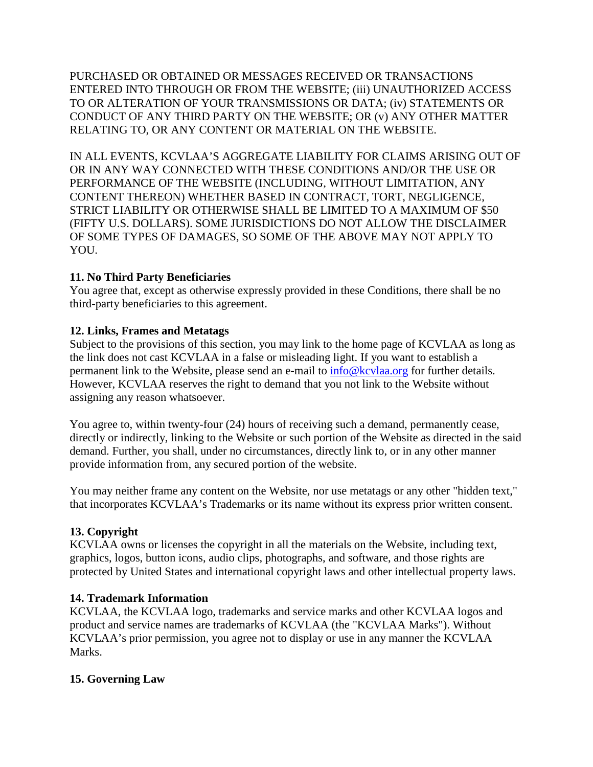PURCHASED OR OBTAINED OR MESSAGES RECEIVED OR TRANSACTIONS ENTERED INTO THROUGH OR FROM THE WEBSITE; (iii) UNAUTHORIZED ACCESS TO OR ALTERATION OF YOUR TRANSMISSIONS OR DATA; (iv) STATEMENTS OR CONDUCT OF ANY THIRD PARTY ON THE WEBSITE; OR (v) ANY OTHER MATTER RELATING TO, OR ANY CONTENT OR MATERIAL ON THE WEBSITE.

IN ALL EVENTS, KCVLAA'S AGGREGATE LIABILITY FOR CLAIMS ARISING OUT OF OR IN ANY WAY CONNECTED WITH THESE CONDITIONS AND/OR THE USE OR PERFORMANCE OF THE WEBSITE (INCLUDING, WITHOUT LIMITATION, ANY CONTENT THEREON) WHETHER BASED IN CONTRACT, TORT, NEGLIGENCE, STRICT LIABILITY OR OTHERWISE SHALL BE LIMITED TO A MAXIMUM OF \$50 (FIFTY U.S. DOLLARS). SOME JURISDICTIONS DO NOT ALLOW THE DISCLAIMER OF SOME TYPES OF DAMAGES, SO SOME OF THE ABOVE MAY NOT APPLY TO YOU.

# **11. No Third Party Beneficiaries**

You agree that, except as otherwise expressly provided in these Conditions, there shall be no third-party beneficiaries to this agreement.

#### **12. Links, Frames and Metatags**

Subject to the provisions of this section, you may link to the home page of KCVLAA as long as the link does not cast KCVLAA in a false or misleading light. If you want to establish a permanent link to the Website, please send an e-mail to [info@kcvlaa.org](mailto:info@kcvlaa.org) for further details. However, KCVLAA reserves the right to demand that you not link to the Website without assigning any reason whatsoever.

You agree to, within twenty-four (24) hours of receiving such a demand, permanently cease, directly or indirectly, linking to the Website or such portion of the Website as directed in the said demand. Further, you shall, under no circumstances, directly link to, or in any other manner provide information from, any secured portion of the website.

You may neither frame any content on the Website, nor use metatags or any other "hidden text," that incorporates KCVLAA's Trademarks or its name without its express prior written consent.

# **13. Copyright**

KCVLAA owns or licenses the copyright in all the materials on the Website, including text, graphics, logos, button icons, audio clips, photographs, and software, and those rights are protected by United States and international copyright laws and other intellectual property laws.

#### **14. Trademark Information**

KCVLAA, the KCVLAA logo, trademarks and service marks and other KCVLAA logos and product and service names are trademarks of KCVLAA (the "KCVLAA Marks"). Without KCVLAA's prior permission, you agree not to display or use in any manner the KCVLAA Marks.

# **15. Governing Law**